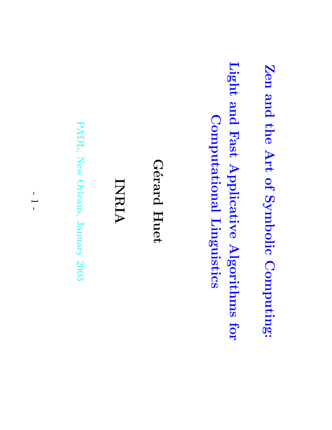Zen and the Art of Symbolic Computing:

Light and Computational Linguistics Computational Fast Applicative Linguistics Algorithms for

G´erard Huet

INRIA

PADL, New Orleans, January 2003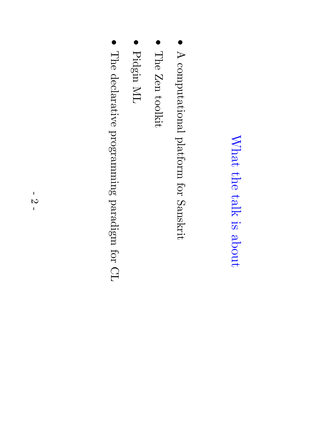#### $\rm{What}$ the talk  $\Xi.$ about

- $\blacktriangleright$ computational platform for Sanskrit
- $\bullet$ The Zen toolkit
- $\bullet$ Pidgin  $\rm \Sigma$
- $\bullet$ The declarative programming  $\operatorname{target}$ for  $\Omega$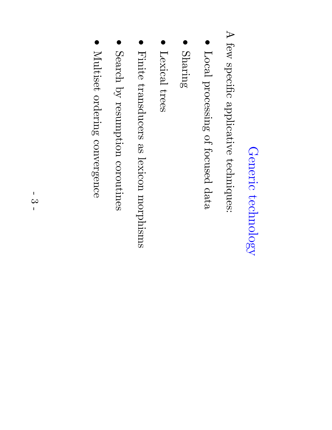# Generic technology technology

 $\blacktriangleright$ few specific applicative techniques:

- $\rm Local$ processing of focused data
- $\bullet$ Sharing
- Lexical trees
- Finite transducers e<br>S lexicon morphisms
- $\bullet$ Search  $\mathcal{\widetilde{Q}}$ resumption coroutines
- $\bullet$ Multiset Multiset ordering convergence convergence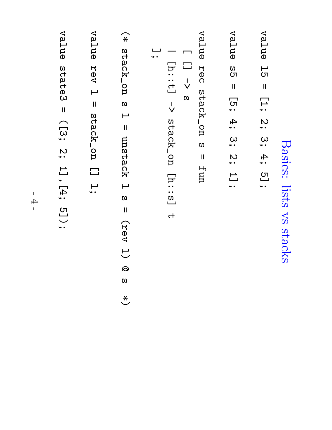#### Basics: lists  $\sum\limits_{i=1}^N$ stacks

- value ե<br>հ  $\mathbf{I}$ **[]** <u>ي</u><br>ٽ <u>ယ</u> 4; ت<br>..
- value က<br>CT  $\mathbf{I}$ \_\_<br>• • 4.<br>• <u>ယ</u> <u>ي</u><br>ٽ 1<br>ا<br>. .
- value R<br>Dec stack\_on  $\mathbf{z}$  $\mathbf{I}$ fun
- $\Box$  $\Box$ l<br>V  $\Omega$
- $\overline{\phantom{0}}$ [h::t] l<br>V stack\_on [h::s] ct
- يــا<br>• •
- $\widehat{*}$ stack\_on ທ  $\vdash$  $\mathbf{I}$ unstack  $\blacksquare$ ທ  $\mathbf{I}$ (rev  $\overline{\smash{\bigcup}}$ @ ທ  $\overline{\mathcal{X}}$
- value **Rev**  $\vdash$  $\mathbf{I}$ stack\_on  $\Box$ ب<br>س
- value state3 = ([3; ب<br>2. 1],[4; <u>ت)</u><br>: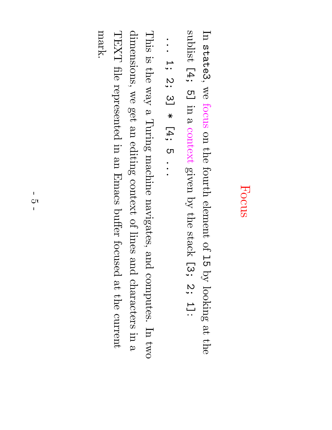### Focus

 $\rm \Xi$ state3,  $\mathop{\otimes}\limits^{\mathop{\mathsf{CS}}\nolimits}$ focus on the fourth element of —<br>С1  $\mathcal{\widetilde{Q}}$ looking ದಿ.<br>ಹ the sublist [4; <u>ص</u> in  $\omega$ context given  $\mathcal{\widetilde{Q}}$ the stack [3; <u>ي</u><br>ٽ اك :

```
.<br>.<br>.
—<br>ب•
<u>ي</u><br>.
<u>က</u>
  \star[<br>1,
  ಲಾ
  .<br>.<br>.
```
This  $\Xi.$ the  $\chi_{\mathrm{EM}}$  $\mathbf \varphi$ Turing machine navigates, and computes.  $\rm \Xi$ two dimensions,  $\mathop{\otimes}\limits^{\mathop{\mathsf{CS}}\nolimits}$ get an<br>D editing context of lines and characters in  $\mathbf \varphi$  $\rm LXAL$ file represented in.<br>I an<br>D Emacs buffer focused ည $\frac{\bf p} {\bf p}$ the current mark.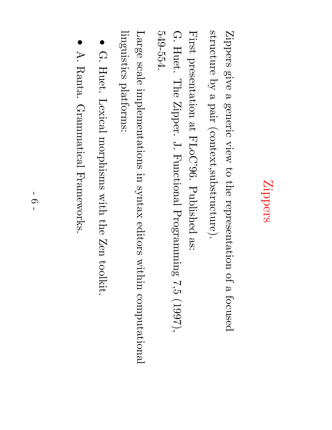# Zippers

Zippers give  $\boldsymbol{\omega}$ generic view  $\mathfrak{S}$ the representation of  $\mathbf \varphi$ focused structure  $\mathcal{\breve{Q}}$  $\mathbf \varphi$ pair (context,substructure).

First presentation ည $\frac{\infty}{2}$  ${\rm FLOC}$ ' $96.50$ Published ق:<br>:<br>:

 $\Omega$ Huet. The Zipper.  $\stackrel{\sim}{\cdot}$ Functional  ${\rm Progranning}$ ہے۔<br>ה  $(1997),$ 549-554.

Large scale implementations in syntax editors within computational linguistics platforms:

- $\bullet$  $\Omega$ Huet. Lexical morphisms with the Zen toolkit.
- $\bullet$ A. Ranta. Grammatical Frameworks.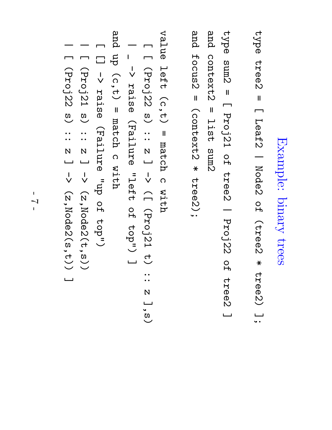## Example: binary trees

type tree2  $\mathbf{I}$  $\Box$ Leaf2  $\overline{\phantom{0}}$ Node2 O<br>H (tree2  $\ast$ tree2) ىـــا<br>• •

type sum2  $\mathbf{I}$  $\Box$ Proj21 O<br>ዙ tree2  $\overline{\phantom{0}}$ Proj22 O<br>ዙ tree2 ا سا and context2 = list<br>1<br>1 sum2

and

focus2

 $\mathbf{I}$ 

(context2

 $\ast$ 

tree2);

value le<br>19  $(c, t)$  $\mathbf{I}$ match  $\overline{\Omega}$ with

 $\Box$  $\Box$ (Proj22  $\overset{\mathfrak{D}}{\smile}$ ::<br>:: N اسسا l<br>V  $\bigcap$ (Proj21  $\stackrel{\textstyle\textstyle\subset}{\smile}$ ..<br>..  $\overline{\mathsf{N}}$ ]<br>S)<br>O  $\overline{\phantom{0}}$  $\mathsf I$ l<br>V raise (Failure ーコ<br>ローロー O<br>H top") ا سا

and d<br>J  $(c\,,t)$  $\mathbf{I}$ match  $\overline{\Omega}$ with

 $\Box$  $\Box$ l<br>V raise (Failure  $\rm{d}n_{\rm u}$ O<br>H top")

 $\overline{\phantom{a}}$  $\Box$ (Proj21  $\overset{\mathfrak{D}}{\smile}$ ::<br>::  $\overline{\mathsf{N}}$ ا سا l<br>V (z,Node2(t,s))

 $\overline{\phantom{0}}$  $\Box$ (Proj22  $\overset{\mathfrak{D}}{\smile}$ ::<br>:: N اـــــا l<br>V (z,Node2(s,t)) ا سا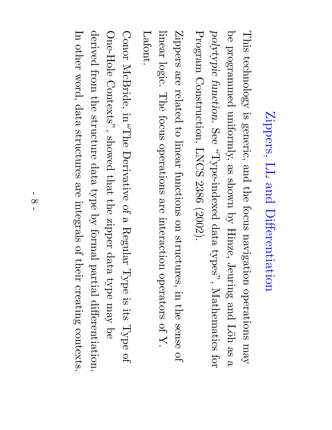## Zippers, LL and Differentiation

This technology  $\Xi.$ generic, and the focus navigation operations  $\Lambda \mathrm{e} \mathrm{u}$ a<br>D programmed uniformly, e<br>So  $_{\rm{max}}$  $\mathcal{\overset{\sim}{Q}}$ Hinze, Jeuring and Löh e<br>S  $\mathbf \varphi$ polytypic function. သ<br>၁<br>၁ pəxəput-əd $\Lambda_{\mathbf{L},n}^{\mathbf{L}}$ data  $\tt type's',$ Mathematics for  ${\rm prsgn}$ Construction, LNCS 2386 (2002).

Zippers are<br>P related  $\Xi^+$ linear functions on structures, in the sense of linear logic. The focus operations are interaction operators of  $\boldsymbol{\mathcal{R}}$ Lafont.

Conor McBride,  $\sup_{\mathbf{U}}\mathbf{U}_{\mathbf{U}}$ Derivative of  $\boldsymbol{\omega}$ Regular Type  $\Xi.$ its Type of One-Hole Contexts", showed  $\mathrm{that}$ the zipper data type  $\Lambda$ e $\rm{u}$  $\operatorname*{g}\nolimits$ derived from the structure data type  $\mathrm{sq}$ formal partial differentiation.  $\rm \Xi$ other word, data structures are integrals of their creating contexts.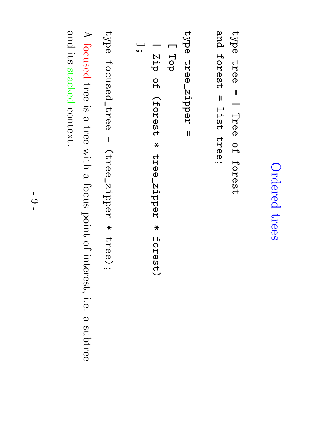## Ordered trees

```
type tree \mathbf{I}\BoxTree O<br>ዙ
                 forest ا سا
 and<br>P
 forest \mathbf{u}list<br>1<br>1
tree;
```

```
type tree_zipper \mathbf{I}\BoxTop
                 \overline{\phantom{0}}Zip O<br>ዙ
                 (forest \asttree_zipper \astforest)
ىــا<br>• •
```
type focused\_tree  $\mathbf{I}$ (tree\_zipper  $\star$ tree);

 $\blacktriangleright$ focused tree  $\Xi.$  $\omega$ tree with  $\omega$ focus point of interest, i.e.  $\omega$ subtree and its stacked context.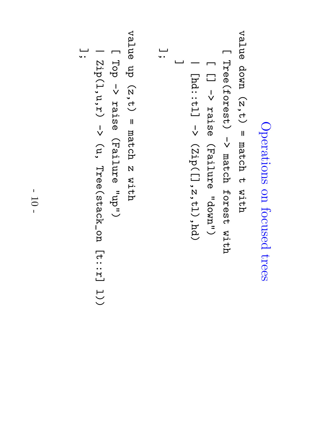```
Operations on focused trees
```

```
value down (z,t) \mathbf{I}match ct
                                                                                                                             with
                                                                                                           \BoxTree(forest) l<br>V
                                                                                                            match forest with
                                                                                         \Box\Boxl<br>V
                                                                                          raise (Failure "down")
                                                                        \overline{\phantom{0}}\mathtt{[id::t1]}l<br>V
                                                                      (\mathsf{Zip}\,(\,[\,]\,,z\,,t\,1)\,,\mathsf{hd}\,)]
                                  ];
  value d<br>J
 (z,t) \mathbf{I}match N
  with
```

$$
[Top \rightarrow raise (Failure "up")
$$
  
[Top \rightarrow raise (Failure "up")  
[Top \rightarrow raise (Failure "up")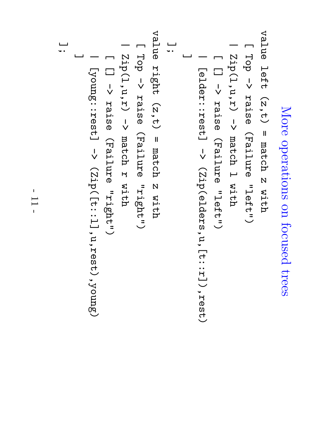```
More operations on focused trees
                                                                                                                                                                                                                                                                                                          value le<br>19
                                                                                                                                                                                                                                                                                                        (2, t)\mathbf{I}match \overline{\mathsf{N}}with
                                                                                                                                                                                                                                                                                  \BoxTop l<br>V
                                                                                                                                                                                                                                                                                    raise (Failure "left")
                                                                                                                                                                                                                                                           \overline{\phantom{0}}\mathtt{Zip}(1,\mathtt{u},\mathtt{r})l<br>V
                                                                                                                                                                                                                                                             match \vdashwith
                                                                                                                                                                                                                                     \Box\Boxl<br>V
                                                                                                                                                                                                                                      raise (Failure "left")
                                                                                                                                                                                                              \overline{\phantom{0}}[elder::rest] [elder::rest] \rightarrow (Zip(elders,u,[t:r]),rest)
                                                                                                                                                                                                            (\mathtt{Size}elders,u,[\mathtt{t}: \mathtt{r}]\,,rest)
                                                                                                                                                                                       ا سا
                                                                                                                                                              ];
                                                                                                                                           value right (z,t) \mathbf{I}match \overline{\mathsf{N}}with
                                                                                                                   \BoxTop l<br>V
                                                                                                                    raise (Failure "right")
                                                                                            \overline{\phantom{0}}\mathtt{Zip(1,u,r)}l<br>V
                                                                                             match H
                                                                                             with
                                                                     \Box\Boxl<br>V
                                                                      raise (Failure "right")
                                              \overline{\phantom{0}}[1sə\mathtt{z}:\mathfrak{z}ə\mathtt{u}no\mathtt{\Lambda}]
                                          [yourg::result] \rightarrow (zip([t::1], u, rest), yourg)(\mathrm{Zip} ([t::1],u,rest),young)
                       ا سا
ىــا<br>• •
```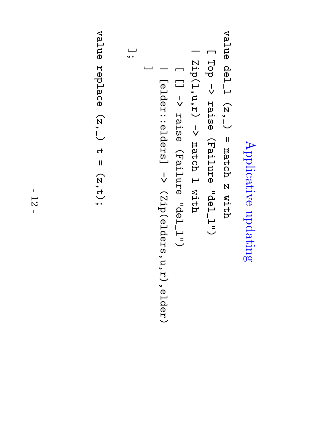Applicative updating

$$
(Top \rightarrow raise (Failure "del\_1")
$$
  
\n
$$
[Top \rightarrow raise (Failure "del\_1")
$$
  
\n
$$
[Top \rightarrow raise (Failure "del\_1")
$$
  
\n
$$
[Top \rightarrow raise (Failure "del\_1")
$$
  
\n
$$
[Top \rightarrow raise (Failure "del\_1")
$$
  
\n
$$
[Fop \rightarrow raise (Failure "del\_1")
$$

value replace  $(\mathbf{z},\mathbf{z})$ ct  $\mathbf{I}$ (z,t);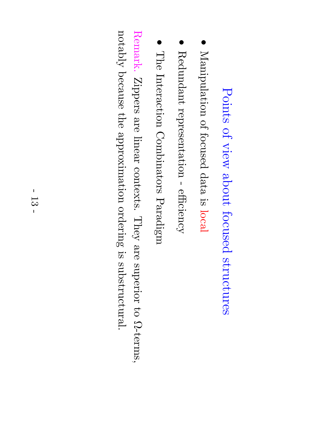### Points of view about focused structures

- $\bullet$ Manipulation of focused data  $\Xi.$ local
- Redundant representation efficiency
- The Interaction Combinators Paradigm

Remark. Zippers are linear contexts. They are superior  $\Xi$ Ω-terms,  $\operatorname{vdd}$ because the<br>P approximation ordering  $\Xi.$ substructural.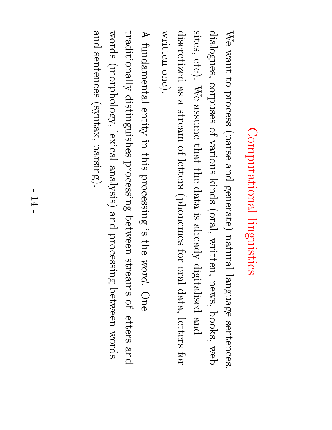# Computational Computational linguistics

 $\mathbb{N}_\Theta$  $\operatorname{true}$  $\mathfrak{S}$ process (parse and generate) natural language sentences, dialogues, corpuses of various kinds (oral, written, news, books, web sites, etc).  $\mathbb{N}_\Theta$ assume  $\thinspace \mathrm{that}$ the<br>P data  $\Xi.$ alrea $\mathrm{d}\mathrm{v}$ digitalised and discretized e<br>So  $\mathbf \varphi$ stream of letters (phonemes for oral data, letters for written one).

 $\blacktriangleright$ fundamental entity in.<br>I this processing  $\Xi.$ the<br> word. One  $\operatorname{traditionally}$ distinguishes processing between streams of letters and words (morphology, lexical analysis) and processing between words and sentences (syntax, parsing).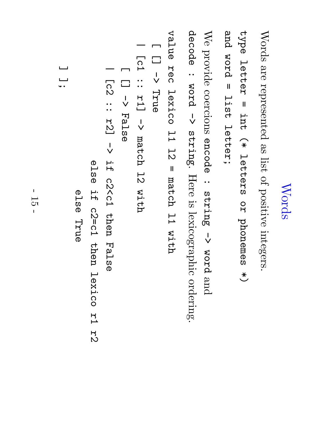### Words

Words are represented e<br>S list of positive integers.

type letter  $\mathbf{I}$ int.<br>T  $\widehat{*}$ letters O<br>R phonemes  $\overset{\textstyle{*}}{\smile}$ and word  $\mathbf{I}$ list<br>1<br>1 letter;

We provide coercions encode : string l<br>V word and decode : word l<br>V string. Here  $\Xi.$ lexicographic ordering.

value Rec lexico  $11\ \mu$  $\frac{1}{2}$  $\mathbf{I}$ match  $11\ \mu$ with

 $\Box$  $\Box$ l<br>V True

[c1 ::<br>:: r1] l<br>V match l<br>N with

 $\overline{\phantom{a}}$ 

 $\Box$ [] l<br>V False

|

[c2 ..<br>..  $121$ l<br>V 口.<br>H c2<c1 then False

e<br>Da<br>O 口·<br>H c2=c1 then lexico r<br>H  $72$ 

e<br>Da<br>O

True

ا سا يـــا<br>• •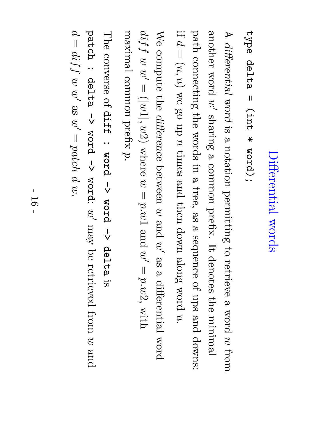# Differential Differential words

#### type delta  $\mathbf{I}$ (int  $\ast$ word);

 $\blacktriangleright$ differential word  $\Xi.$  $\mathbf \varphi$ notation permitting  $\Xi$ retrieve  $\boldsymbol{\omega}$ word  $\mathcal{G}% _{0}$ from another word  $\widetilde{\varepsilon}$ sharing  $\mathbf \varphi$ common prefix.  $\bm{\Pi}$ denotes the minimal path connecting the words in  $\boldsymbol{\omega}$ tree, e<br>So  $\boldsymbol{\omega}$ sequence of ups and downs: if  $\mathcal{Q}$  $\overline{\phantom{a}}$  $(n,$  $\widehat{x}$  $\mathop{\otimes}\limits^{\mathop{\mathbb{C}}\limits_{\mathop{\mathbb{C}}\limits^{}}\mathop{\mathbb{C}}\limits^{\mathop{\mathbb{C}}\limits_{\mathop{\mathbb{C}}\limits^{}}\mathop{\mathbb{C}}\limits^{}}$ go up  $\mathcal{S}% _{M_{1},M_{2}}^{\alpha,\beta}(-\varepsilon)=\mathcal{S}_{M_{1},M_{2}}^{\alpha,\beta}(-\varepsilon)$ times and then down along word  $\mathcal{C}$  $\mathbb{N}_\Theta$ compute the difference between  $\mathcal{C}$ and  $\widetilde{\varepsilon}$ e<br>S  $\mathbf \varphi$ differential word

 $di\ddot{f}f$  $\mathcal{C}% _{M_{1},M_{2}}^{\alpha,\beta}$  $\widetilde{\varepsilon}$  $\overline{\phantom{a}}$  $\bigcirc$ 1|,  $\mathcal{C}$  $\widetilde{\mathcal{C}}$ where  $\mathcal{C}$  $\overline{\phantom{a}}$  $p.w$  $\overline{\phantom{0}}$ and  $\widetilde{\varepsilon}$  $\overline{\phantom{a}}$  $p.w$ یم. with maximal common prefix  $\tilde{\mathcal{D}}$ 

The converse of d<br>Fff : word l<br>V word l<br>V delta  $\Xi.$ patch : delta l<br>V word l<br>V word:  $\widetilde{\omega}'$  $\Lambda$ e $\mathrm{U}$ ଚ<br>ଚ retrieved from  $\mathcal{C}% _{0}^{(n)}:=\mathcal{C}_{0}^{(n)}$ 

 $\varphi$  $\frac{1}{2}$ 

 $di\ddot{f}f$ 

 $\mathcal{C}% _{M_{1},M_{2}}^{\alpha,\beta}$ 

 $\widetilde{\omega}'$ 

e<br>S

 $\widetilde{\varepsilon}$ 

 $\overline{\phantom{a}}$ 

 $patch$ 

 $\varphi$ 

 $\mathcal{C}$ 

and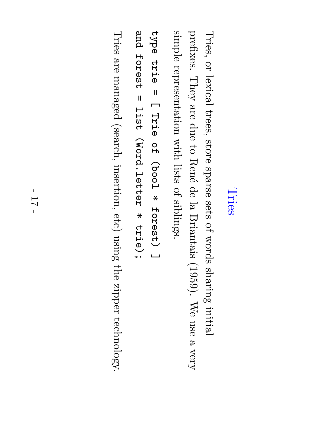### Tries

Tries, or lexical trees, store sparse sets of words sharing initial prefixes. They are due  $\Xi$ Ren´e a<br>P  $\Xi$ Briantais (1959).  $\mathbb{N}_\Theta$ use  $\mathbf \varphi$ very simple representation with lists of siblings.

type e<br>Frie  $\mathbf{I}$  $\Box$ a<br>Frie O<br>H (bool  $\ast$ forest) ا سا and<br>P forest  $\mathbf{I}$ list<br>1<br>1 (Word.letter  $\ast$ trie);

Tries are managed (search, insertion, etc) using the zipper technology.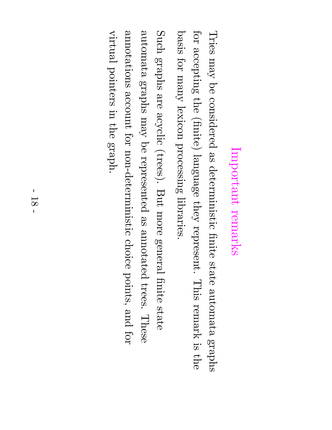# Important remarks

Tries  $\Lambda$ e $\rm{uu}$  $\operatorname*{g}\nolimits$ considered e<br>S deterministic finite state automata graphs for accepting the  $(\mathrm{finite})$ language they represent. This remark  $\Xi.$ the basis for  $\Lambda$ urg $\rm{u}$ lexicon processing libraries.

Such graphs are<br>O acyclic (trees). But more general finite state automata graphs  $\Lambda$ e $\rm{u}$  $\operatorname*{g}\nolimits$ represented e<br>So annotated trees. These annotations account for non-deterministic choice points, and for virtual pointers in the graph.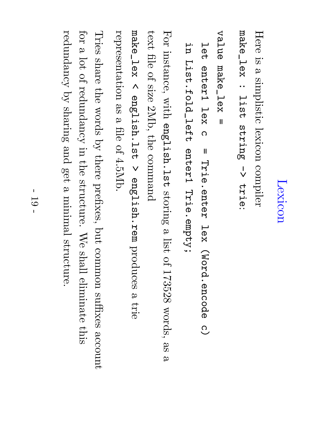## Lexicon

Here  $\Xi.$  $\mathbf \varphi$ simplistic lexicon compiler make\_lex : list<br>1<br>1 string l<br>V trie:

value make\_lex =

ロ<br>この enter1 lex<br>X  $\overline{\Omega}$  $\mathbf{I}$ Trie.enter lex<br>X (Word.encode  $\rm \frac{O}{C}$ n.<br>E List.fold\_left enter1 Trie.empty;

For instance, with english.lst storing  $\boldsymbol{\omega}$ list of 173528 words, e<br>S  $\boldsymbol{\omega}$  $\tt{test}$ file of size 2Mb, the command

make\_lex  $\overline{\wedge}$ english.lst  $\checkmark$ english.rem produces a trie representation e<br>So  $\mathbf \varphi$ file of 4.5Mb.

Tries share the words  $\mathcal{\overset{\sim}{Q}}$ there prefixes, but common suffixes account for  $\mathbf \varphi$ lot of redundancy in the<br>P structure.  $\mathbb{N}_\Theta$ shall eliminate this redundancy  $\mathcal{\overset{\sim}{Q}}$ sharing and get  $\boldsymbol{\omega}$ minimal structure.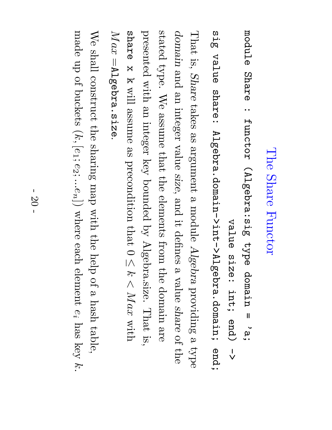### The Share Functor

module Share : functor (Algebra:sig type domain  $\mathbf{I}$ ي<br>`بو value s<br>Size: end)

int;  $\frac{1}{\sqrt{2}}$ თ<br>ო<br>თ value share: Algebra.domain->int->Algebra.domain; end;  $\rm That$ is, Share takes e<br>S argument  $\omega$ module Algebra providing  $\omega$ type domain and an<br>D integer value size, and  $\Xi$ : defines  $\boldsymbol{\omega}$ value share of the

stated type.  $\mathbb{N}_\Theta$ assume  $\mathrm{that}$ the<br>P elements from the domain are<br>P presented with an integer key bounded  $\mathcal{\widetilde{Q}}$ Algebra.size.  $\rm That$ is, share x k will assume e<br>S precondition  $\thinspace \mathrm{that}$  $\bigcirc$  $\overline{\wedge}$ K  $\overline{\wedge}$  $Max$ with  $\it{Max}$ Algebra.size

We shall construct the sharing  ${\rm d}$ e ${\rm u}$ with the help of  $\omega$  $_{\rm hash}$ table, made up of buckets  $\left(\mathcal{k},\right)$  $[e_1;$  $\sigma$  $\tilde{\mathcal{C}}$  : .<br>0  $\mathcal{S}% _{A_{1},A_{2}}^{\alpha,\beta}(\varepsilon)=\mathcal{S}_{A_{1},A_{2}}^{\alpha,\beta}(\varepsilon)$  $\smash{\bigtriangledown}$ where each element  $\mathbb{C}^i$  $\hbox{had}$ key k.

||

.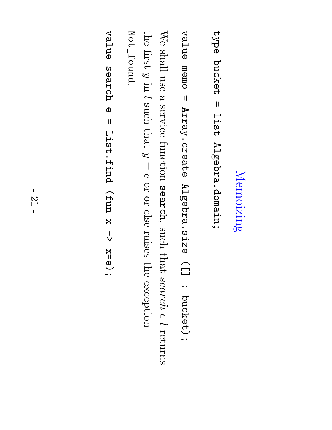### Memoizing Memoizing

type bucket  $\mathbf{I}$ list<br>1<br>1 Algebra.domain;

value memo  $\mathbf{I}$ Array.create Algebra.size  $\bigcap$ : bucket);

 $\mathbb{N}_\Theta$ shall use  $\boldsymbol{\omega}$ service function search, such that search  $\sigma$  $\overline{\phantom{0}}$ returns the first  $\mathcal Q$ in  $\overline{\phantom{0}}$ such that  $\mathcal{G}$  $\overline{\phantom{a}}$  $\sigma$ or or else raises the exception Not\_foundNot\_found.

value search ወ  $\mathbf{I}$ List.find (fun x l<br>V x=e);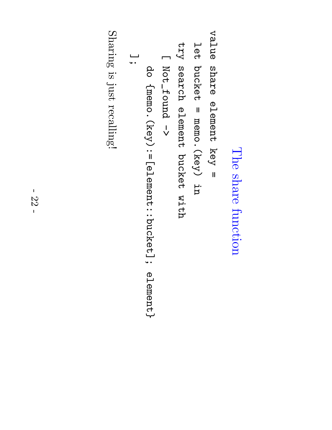### The share function

value share element key  $\mathbf{I}$ 

ロ<br>この bucket  $\mathbf{I}$ memo.(key) u<br>H

 $\tau_{\rm 2}$ search element bucket with

 $\Box$ Not\_found Not\_found ->

do {memo. (key):=[element::bucket]; element}  $\{$ memo.(key):=[element::bucket]; element} ];

Sharing  $\Xi.$ just recalling!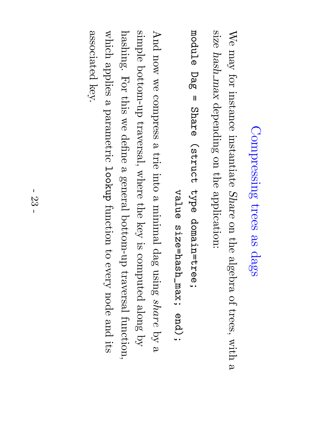### Compressing trees e<br>S dags

 $\mathbb{N}_\Theta$  $\Lambda$ e $\rm{u}$ for instance instantiate Share on the algebra of trees, with a size  $hash$  $X \mathcal{B} U \mathcal{B}$ depending on the application:

module Dag<br>B  $\mathbf{I}$ Share (struct type domain=tree;

value size=hash\_max; end);

And now  $\mathop{\otimes}\limits^{\mathop{\mathsf{CS}}\nolimits}$ compress  $\boldsymbol{\omega}$ trie into a minimal dag using share  $\mathrm{sq}$  $\boldsymbol{\omega}$ simple bottom-up traversal, where the key  $\Xi.$ computed along  $\mathcal{\widetilde{Q}}$ hashing.  $_{\rm IOT}$ this  $\mathop{\otimes}\limits^{\mathop{\mathsf{M}}\nolimits}$ define a general bottom-up traversal function, which applies  $\omega$ parametric lookup function  $\Xi^+$ every node and its associated associated key.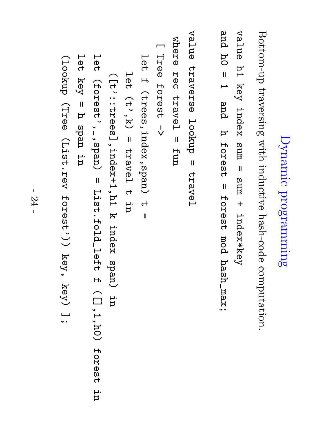# Dynamic programming programming

Bottom-up traversing with inductive hash-code computation.

value h1 key index sum  $\mathbf{I}$ sum  $+$ index\*key and h0 =  $\overline{\phantom{0}}$ and h forest = forest mod  ${\tt i}$ xe ${\tt m}$   ${\tt v}$ 

```
value traverse lookup \mathbf{I}travel
                                                                                                                                        where R<br>Co
                                                                                                                                        travel \mathbf{I}fun
                                                                                                                    \BoxTree
                                                                                                                     forest l<br>V
                                                                                                  ロ<br>この
                                                                                                  \mathsf{H}(trees,index,span) ct
                                                                                                   \mathbf{I}ロ<br>この
                                                                             (\texttt{t}', \texttt{k})\mathbf{I}travel ct
                                                                               n.<br>E
                                                          ([t'::trees],index+1,h1 k index span) p.<br>P
                                         ロ<br>この
                                      (forest',_,span) \mathbf{I}List.fold_left \mathsf{H}([],1,h0) ロ<br>この
                   key \mathbf{I}\bm{\mathsf{\Sigma}}span u<br>h
(lookup (Tree (List.rev forest')) key, key) ىـــا<br>• •
```
forest

ur.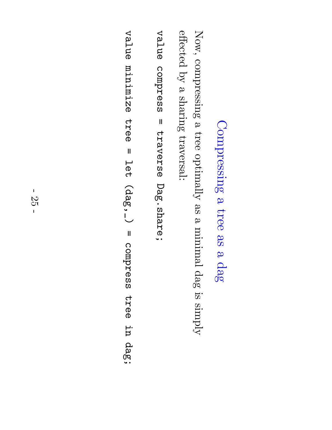#### Compressing <u>ည</u> tree e<br>S <u>ည</u> dag

Now, compressing  $\mathbf \varphi$ tree  $\operatorname{optimally}$ e<br>S  $\mathbf \varphi$ minimal dag  $\Xi.$  $\mathrm{Nmax}$ effected  $\mathcal{\widetilde{Q}}$  $\omega$ sharing traversal:

value compress  $\mathbf{I}$ traverse Dag.share;

value minimize tree  $\mathbf{I}$ ロ<br>ロ<br>イ (dag,\_)  $\mathbf{I}$ compress tree u<br>h dag;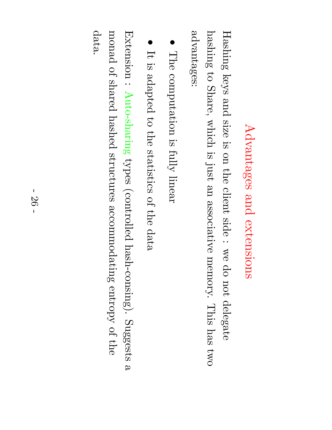# Advantages Advantages and extensions extensions

advantages: advantages: hashing Hashing  $\Xi$ keys Share, and which size  $\Xi.$  $\Xi.$ on just the an<br>D client associative side :  $\mathop{\otimes}\limits^{\mathop{\mathsf{M}}\nolimits}$ memory. p<br>O not delegate This  $\hbox{had}$ two

- The computation  $\mathbb{R}.$ fully linear
- $\bullet$  $\bf \overline{I}$  $\Xi.$ adapted  $\Xi$ the statistics of the data

Extension : Auto-sharing types (controlled hash-consing). Suggests  $\boldsymbol{\omega}$ monad of shared hashed structures accommodating entropy of the data.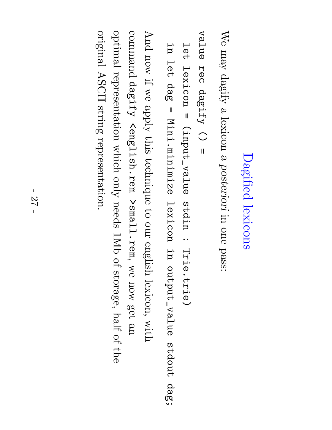# Dagified lexicons

 $\mathbb{N}_\Theta$  $\Lambda$ e $\rm{u}$  $\mathrm{dagify}$  $\omega$ lexicon a posteriori in one pass:

```
value R<br>Dec
dagify \bigcirc\mathbf{I}
```

```
ロ<br>この
  lexicon \mathbf{I}(input_value stdin : Trie.trie)
```
u<br>h ロ<br>この da<br>bo  $\mathbf{I}$ Mini.minimize lexicon p.<br>P output\_value stdout dag;

And now if  $\mathop{\otimes}\limits^{\mathop{\mathsf{M}}\nolimits}$  $\chi_{\rm DDP}$ this technique  $\Xi$ our english lexicon, with command dagify <english.rem  $\mathtt{sum}$ l.rema  $\ddot{\phantom{1}}$  $\mathop{\otimes}\limits^{\mathop{\mathsf{CS}}\nolimits}$ now get an<br>D optimal representation which only needs  $\rm{I}M$  $\Xi$ storage, half of the original ASCII string representation.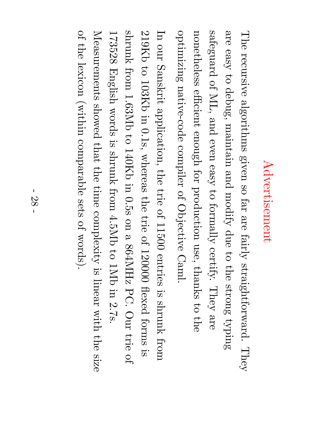## Advertisement Advertisement

The recursive algorithms given so far are  $\operatorname{fairly}$ straightforward. They are easy  $\Xi$ debug, maintain and modify due  $\Xi$ the strong  $\operatorname{sing}$ safeguard of ML, and even easy  $\mathfrak{S}$ formally certify. They are nonetheless efficient  $\epsilon$ nough for production use, thanks  $\Xi$ the optimizing native-code compiler of Objective Caml.

 $\rm \Xi$ our Sanskrit application, the<br>P trie of 11500 entries  $\Xi.$ shrunk from 219Kb  $\Xi$ 103Kb in.<br>I 0.1s, whereas the trie of 120000 flexed forms  $\Xi.$ shrunk from 1.63Mb  $\Xi$ 140Kb in 0.5s on  $\boldsymbol{\omega}$ 864MHz PC. Our trie of 173528 English words  $\Xi.$ shrunk from 4.5Mb  $\Xi$  $1\mathrm{M}\mathrm{D}$ in 2.7s. Measurements showed  $\thinspace \mathrm{that}$ the time complexity  $\Xi.$ linear with the size of the lexicon (within comparable sets of words).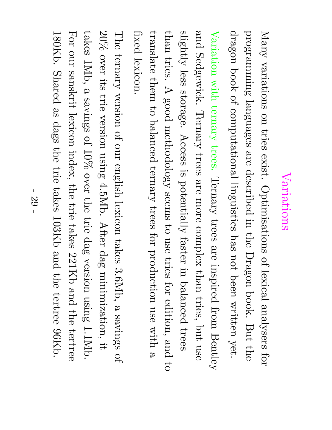#### Variations Variations

Many variations on tries exist. Optimisations of lexical analysers for programming languages are described in the<br>P  $\operatorname{Dragon}$ book. But the<br>P dragon book of computational linguistics  $\lim_{\Omega}$ not been written yet. Variation with ternary trees. Ternary trees are inspired from Bentley and Sedgewick. Ternary trees are more complex than tries, but use  $\operatorname{singhtly}$ less storage. Access  $\Xi.$ potentially faster in balanced trees  $t_{\rm Idan}$ tries.  $\blacktriangleright$ good methodology seems  $\Xi$ use tries for edition, and  $\Xi$ translate  $\thinspace\mathrm{them}$  $\Xi$ balanced ternary trees for production use with a fixed lexicon.

The ternary version of our english lexicon takes 3.6Mb,  $\mathbf \varphi$ savings of 20% over its trie version using 4.5Mb. After dag minimization, it. takes 1Mb, a savings of 10% over the trie dag version using 1.1Mb. For our sanskrit lexicon index, the<br>P trie takes 221Kb and the tertree 180Kb. Shared e<br>S dags the trie takes 103Kb and the tertree 96Kb.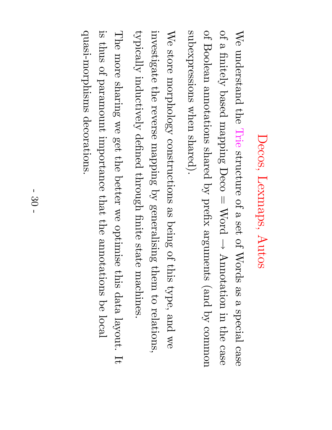## Decos, Lexmaps, Autos

 $\mathbb{N}_\Theta$ understand the Trie structure of a set<br>O of Words e<br>So  $\omega$ special case of a  $\operatorname{finitely}$ based mapping Deco  $\overline{\phantom{a}}$ Word  $\downarrow$ Annotation in the case of Boolean annotations shared  $\mathcal{\widetilde{Q}}$ prefix arguments (and  $\mathcal{\widetilde{Q}}$ common subexpressions when shared).

We store morphology constructions e<br>S being of this type, and  $\mathop{\otimes}\limits^{\mathop{\mathsf{CS}}\nolimits}$ investigate the reverse mapping  $\mathrm{sq}$ generalising  $\thinspace\mathrm{them}$  $\mathfrak{S}$ relations,  $\operatorname{typically}$ inductively defined through finite state machines.

quasi-morphisms decorations. quasi-morphisms  $\Xi.$ The thus more of paramount sharing decorations.  $\mathop{\otimes}\limits^{\mathop{\mathsf{CS}}\nolimits}$ importance get the better  $\thinspace \mathrm{that}$  $\mathop{\otimes}\limits^{\mathop{\mathsf{M}}\nolimits}$ the optimise annotations this data ଚ<br>ଚ local layout.  $\bm{\Pi}$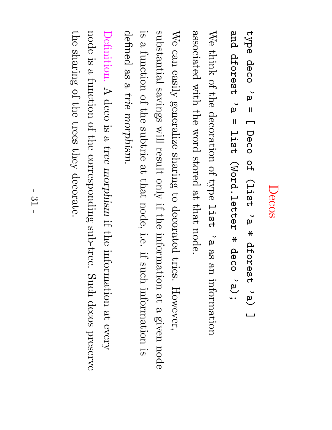### Decos

type deco **`**<br>മ  $\mathbf{I}$  $\Box$ Deco O<br>H (list ں<br>`µ  $\ast$ dforest 'a) ا سا and dforest dforest ب<br>`µ  $\mathbf{I}$ list<br>1 (Word.letter  $\ast$ deco ت<br>...

We think of the<br>P decoration of type list<br>1<br>1 ں<br>`0 e<br>S e<br>D information associated with the word stored ည $\frac{\infty}{2}$  $\mathrm{that}$ node.

 $\mathbb{N}_\Theta$ can easily generalize sharing  $\Xi^+$ decorated tries. However, substantial savings will result only  $\Xi$ the information ည $\frac{\bf p} {\bf p}$  $\omega$ given node  $\Xi.$  $\omega$ function of the subtrie ည $\frac{\bf p} {\bf p}$  $\thinspace \mathrm{that}$ node, i.e.  $\Xi$ : such information  $\Xi.$ defined e<br>S  $\omega$ trie morphism.

Definition.  $\blacktriangleright$ deco  $\Xi.$ a tree morphism  $\ddot{\Xi}$ the information  $\frac{5}{4}$ every node  $\Xi.$ a function of the corresponding sub-tree. Such decos preserve the sharing of the trees they decorate.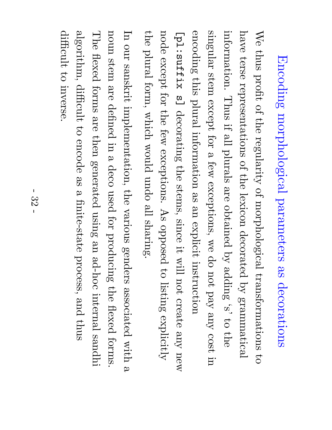# Encoding morphological parameters as decorations

 $\mathbb{N}_\Theta$ thus profit of the  ${\rm resularity}$ of morphological transformations  $\Xi$ have terse representations of the lexicon decorated  $\mathcal{\overset{\sim}{Q}}$ grammatical information.  $\rm Thus$  $\Xi$ : ص<br>ا plurals are obtained  $\mathcal{\overset{\sim}{Q}}$ adding  $\mathbf{N}$  $\Xi$ the singular stem except for  $\mathbf \varphi$ few exceptions,  $\mathbb{Z}^\infty$ p<br>O not  $\rm \chi_{\rm B}$  $\rm\chi_{\rm U}$ cost in encoding this plural information e<br>S an<br>D explicit instruction [pl:suffix က $\Box$ decorating the stems, since it. will not create  $\rm\chi_{\rm U}$ new node except for the few exceptions. As opposed  $\Xi$ listing  $\exp$ licitly the plural form, which would undo  $\mathbb{E}$ sharing.

 $\rm \Xi$ our sanskrit implementation, the various genders associated with  $\omega$ noun stem are defined in  $\omega$ deco used for producing the flexed forms. The flexed forms are then generated using an<br>D ad-hoc internal sandhi  $\operatorname{algorithm},$ difficult  $\Xi$ encode e<br>S  $\boldsymbol{\mathsf{\Omega}}$ finite-state process, and thus difficult  $\Xi$ inverse.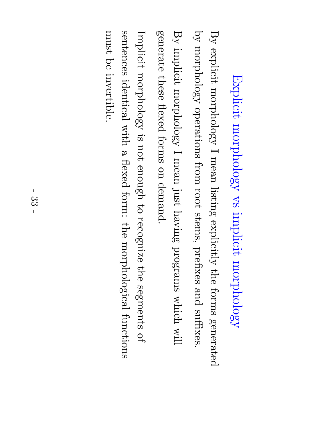# Explicit morphology  $\sum_{i=1}^N$ implicit morphology

 $\mathrm{B}_\mathrm{y}$ explicit morphology  $\overline{\phantom{0}}$ mean listing  $\exp$ licitly the forms generated  $\mathcal{\overset{\sim}{Q}}$ morphology operations from root stems, prefixes and suffixes.  $\mathrm{B}_\mathrm{y}$ implicit morphology  $\overline{\phantom{0}}$ mean just having programs which will

Implicit morphology  $\Xi.$ not enough  $\Xi$ recognize the<br>P segments of sentences identical with a flexed form: the morphological functions must a<br>O invertible.

generate

these

flexed

forms

on

demand.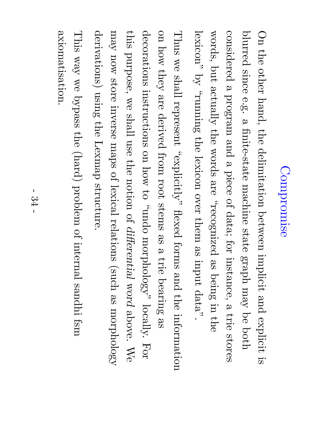### Compromise Compromise

 $\rm \bigcirc$ the<br>P other hand, the<br>P delimitation between implicit and explicit  $\Xi.$ blurred since e.g.  $\omega$ finite-state machine state  ${\rm d}$ era ${\rm g}$  $\Lambda$ e $\rm{uu}$ a<br>O  ${\rm d}$ considered  $\omega$ program and  $\omega$ piece of data; for instance,  $\omega$ trie stores words, but  $\operatorname{adl}_Y$ the words are <sub>p</sub>pecognized es<br>S being in the lexicon"  $\mathcal{\widetilde{Q}}$  $\operatorname*{sumum}_{j}$ the lexicon over  $t$ hem e<br>S input data".

 $\rm Thu$  $\mathop{\otimes}\nolimits$ shall represent  $\alpha$  yplicitly). flexed forms and the information on how they are derived from root stems e<br>S  $\omega$ trie bearing e<br>S decorations instructions on how  $\Xi$ opun,, morphology" locally. For this purpose,  $\mathop{\%}\nolimits$ shall use the notion  $\Xi$ differential word above.  $\mathbb{N}_\Theta$  $\Lambda$ e $\rm{uu}$ now store inverse maps of lexical relations (such e<br>S morphology derivations) using the Lexmap structure.

axiomatisation. axiomatisation. This  $\chi_{\mathrm{EM}}$  $\mathop{\otimes}\limits^{\mathop{\mathsf{CS}}\nolimits}$ bypass the (hard) problem of internal sandhi fsm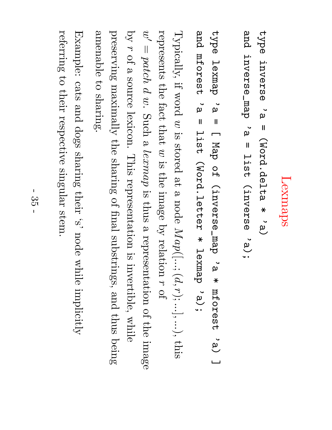# Lexmaps

type inverse inverse ں<br>'لم  $\mathbf{I}$ (Word.delta  $\ast$ 'a) and<br>P inverse\_map **`**م  $\mathbf{I}$ list<br>1<br>1 (inverse ت<br>...

type lexmap **`**م  $\mathbf{I}$  $\Box$ Map O<br>ዙ (inverse\_map **`**م  $\ast$ mforest 'a) ا سا and mforest ں<br>`µ  $\mathbf{I}$ list<br>15<br>1 (Word.letter  $\ast$ lexmap ت<br>...

 $\rm{Typicaly},$  $\Xi$ : word  $\mathcal{G}$  $\Xi.$ stored ည $\frac{\infty}{2}$  $\boldsymbol{\omega}$ node  $Map$  $\bigcap$ ... $\sum$  $d,$  $\rightarrow$  $\sum$ ...], ... $\smash{\smash{\bigcup}}$ this represents the fact  $\mathrm{that}$  $\mathcal{C}% _{M_{1},M_{2}}^{\alpha,\beta}$  $\Xi.$ the<br>P image  $\mathcal{\widetilde{Q}}$ relation  $\rightarrow$ of  $\widetilde{\omega}'$  $\overline{\phantom{a}}$  $patch$  $\mathcal{Q}$  $\mathcal{C}$ Such  $\omega$  $l$ e $x$ ma $p$  $\Xi.$ thus  $\omega$ representation of the<br>P image  $\mathop{\mathrm{Sq}}$  $\rightarrow$ of a source lexicon. This representation  $\Xi.$ invertible, while preserving  $\operatorname{argmin} \mathcal{A}$ the sharing of final substrings, and thus being amenable  $\Xi$ sharing.

Example: cats and dogs sharing their  $\mathbf{N}$ node while  $\operatorname{implicitly}$ referring  $\Xi^+$ their respective singular stem.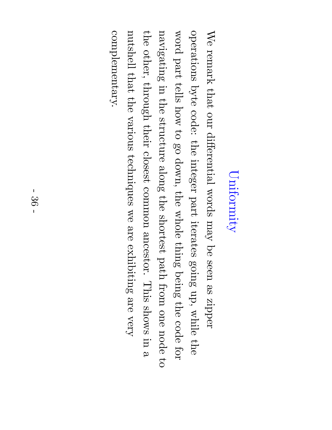### Uniformity Uniformity

complementary. the<br>P word We complementary. nutshell navigating operations other, remark part  $\thinspace \mathrm{that}$ through tells in byte  $\thinspace \mathrm{that}$ the the how code: our various structure their  $\Xi$ differential the go closest techniques down, integer along common words the the part  $\mathop{\otimes}\limits^{\mathop{\mathbb{S}}\nolimits}$ whole shortest iterates  $\Lambda$ e $\rm{uu}$ are ancestor.  $\thinspace \thinspace \mathrm{thin}$ exhibiting a<br>O path seen going being This from e<br>S up, are zipper the shows while one very code node in the for  $\omega$  $\mathfrak{S}$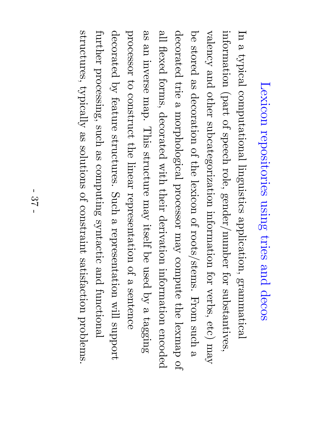## Lexicon repositories using tries and decos

 $\rm \Xi$ a typical computational linguistics application, grammatical information  $(\mathrm{part})$ of speech role, gender/number for substantives, valency and other subcategorization information for verbs, etc)  $\Lambda$ e $\rm{u}$ a<br>D stored e<br>S decoration  $\Xi$ the lexicon of roots/stems.  ${\rm ~mod~}$ such a decorated trie  $\omega$ morphological processor  $\Lambda$ e $\rm{u}$ compute the lexmap  $\Xi$ ص<br>ا flexed forms, decorated with their derivation information encoded e<br>S an<br>D inverse map. This structure  $\Lambda$ e $\rm{uu}$ itself ଚ<br>ଚ used  $\mathcal{\widetilde{Q}}$  $\omega$ tagging processor  $\Xi$ construct the linear representation of  $\omega$ sentence decorated  $\mathcal{\widetilde{Q}}$ feature structures. Such  $\omega$ representation will support further processing, such e<br>S computing syntactic and functional structures,  $\tt{typically}$ e<br>S solutions of constraint satisfaction problems.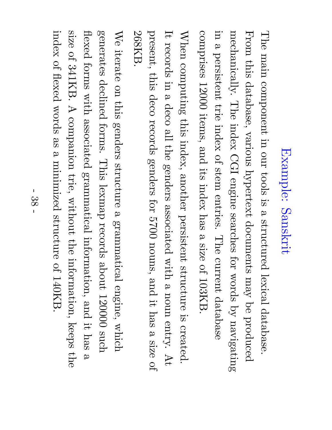# Example: Sanskrit

The main component in our tools  $\Xi.$  $\boldsymbol{\omega}$ structured lexical database. From this database, various hypertext documents  $\Lambda$ e $\mathrm{U}$ a<br>D produced mechanically. The index CGI engine searches for words  $\mathcal{\overset{\sim}{Q}}$ navigating in.<br>I  $\mathbf \varphi$ persistent trie index of stem entries. The current database comprises 12000 items, and its index has  $\omega$ size of 103KB.

 $\rm W_{He1}$ computing this index, another persistent structure  $\Xi.$ created.  $\mathbf{\mathcal{H}}$ records in  $\boldsymbol{\mathsf{\Omega}}$ deco  $\mathbb{E}$ the genders associated with  $\mathbf \varphi$ noun entry. At present, this deco records genders for 5700 nouns, and it.  $\hbox{had}$  $\boldsymbol{\omega}$ size of 268KB.

**N**e iterate on this genders structure a grammatical engine, which generates declined forms. This lexmap records about 120000 such flexed forms with associated grammatical information, and  $\Xi$ : has  $\boldsymbol{\omega}$ size of 341KB.  $\blacktriangleright$ companion trie, without the information, keeps the<br>P index of flexed words e<br>S  $\mathbf \varphi$ minimized structure of 140KB.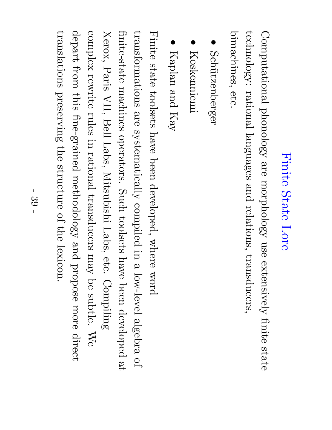### Finite State Lore

Computational phonology are morphology use extensively finite state technology: rational languages and relations, transducers, bimachines, bimachines, etc.

- $\bullet$ Schützenberger Sch¨utzenberger
- $\bullet$ Koskenniemi Koskenniemi
- $\bullet$ Kaplan and Kay

Finite state toolsets have been developed, where word transformations are systematically compiled in  $\boldsymbol{\omega}$ low-level algebra of finite-state machines operators. Such toolsets have been developed ည $\frac{\infty}{2}$ Xerox, Paris VII, Bell Labs, Mitsubishi Labs, etc. Compiling complex rewrite rules in rational transducers  $\Lambda$ e $\rm{uu}$ ଚ<br>ଚ subtle.  $\mathbb{N}_\Theta$ depart from this fine-grained methodology and propose more direct translations preserving the<br>P structure of the lexicon.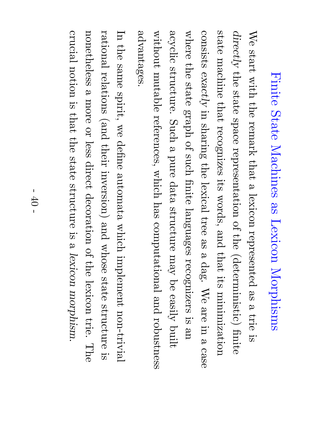## Finite State Machines as Lexicon Morphisms

advantages without where  $\mathbb{N}_\Theta$ advantages. acyclic consists state  $\textrm{directly}$ start machine the structure. the mutable  $exactly$ with state state  $\thinspace \mathrm{that}$ the  ${\rm diag}$ in references, space Such remark sharing recognizes of  $\omega$ representation such pure  $\thinspace \mathrm{that}$ the which finite its data lexical  $\omega$ lexicon words,  $\rm{had}$ structure languages tree of computational and represented the<br>P e<br>S  $\thinspace \mathrm{that}$  $\omega$ (deterministic)  $\Lambda$ e $\rm{u}$ recognizers dag. its ଚ<br>ଚ  $\mathbb{N}_\Theta$ e<br>S minimization easily and  $\omega$ are trie  $\Xi.$ robustness built in e<br>D finite  $\Xi.$ a case

 $\rm \Xi$ the same spirit, we define automata which implement non-trivial rational relations (and their inversion) and whose state structure  $\Xi.$ nonetheless a more  $\rm{S}$ less direct decoration of the lexicon trie. The crucial notion  $\Xi.$ that the state structure  $\Xi.$ a lexicon morphism.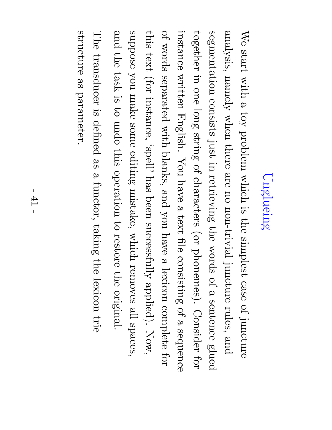# Unglueing

We start with  $\omega$  $\zeta_{\rm O1}$ problem which  $\Xi.$ the<br>P simplest case of juncture analysis,  ${\rm n}$ amely when there are no non-trivial juncture rules, and segmentation consists just in retrieving the words of  $\omega$ sentence glued together in one long string of characters (or phonemes). Consider for instance written English.  $\rm{You}$ have  $\omega$  $\tt{test}$ file consisting of  $\omega$ sequence of words separated with blanks, and you have  $\omega$ lexicon complete for this  $\tt{test}$ (for instance, 'spell'  $\rm{had}$ been  ${\rm successfully}$ applied). Now, suppose you make some editing mistake, which removes  $\mathbb{E}$ spaces, and the task  $\Xi.$  $\mathfrak{S}$ undo this operation  $\Xi$ restore the original. The transducer  $\Xi.$ defined e<br>So a functor, taking the lexicon trie

structure

structure as parameter.

parameter.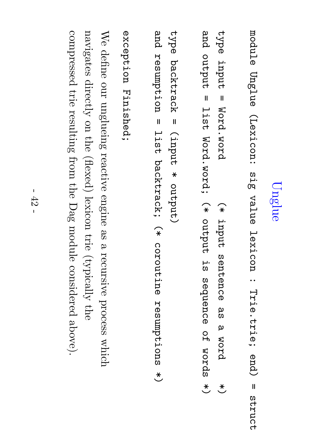## Unglue

module Unglue (Lexicon: თ<br>აქ<br>თ value lexicon : Trie.trie; end)  $\mathbf{u}$ struct struct

type input  $\mathbf{I}$ Word.word  $\widehat{*}$ input sentence ည<br>က  $\boldsymbol{\mathsf{\omega}}$ word  $\stackrel{*}{\smile}$ and output  $\mathbf{I}$ list<br>1<br>1 Word.word;  $\widehat{*}$ output u.<br>H sequence O<br>H words  $\overset{\textstyle{*}}{\smile}$ 

type backtrack  $\mathbf{I}$ (input  $\ast$ output) and<br>P resumption  $\mathbf{I}$ list<br>15<br>1 backtrack;  $\widehat{*}$ coroutine resumptions  $\overset{\textstyle{*}}{\smile}$ 

exception Finished; exception Finished;

 $\mathbb{N}_\Theta$ define our unglueing reactive engine e<br>S  $\omega$ recursive process which navigates  $\operatorname{directly}$ on the<br>P (flexed) lexicon trie  $\left( \mathrm{typically}\right)$ the compressed trie resulting from the Dag module considered above).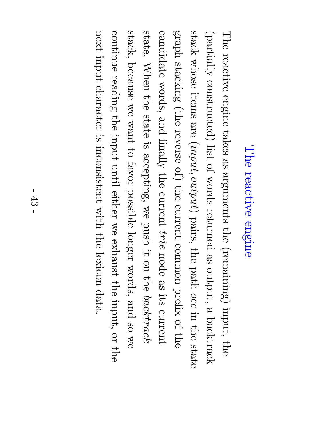### The reactive engine

The reactive engine takes e<br>S arguments the (remaining) input, the<br>P  $\rm (patrially)$ constructed) list of words returned e<br>S output,  $\omega$ backtrack stack whose items are<br>P  $(input,$ output) pairs, the  ${\rm pachh}$ occ in the state  ${\rm d}$ era ${\rm g}$ stacking (the reverse of) the current common prefix  $\Xi$ the candidate words, and  ${\rm final}_Y$ the current trie node e<br>S its current state.  $\rm W_{He1}$ the<br>P state  $\mathbb{R}.$ accepting,  $\mathop{\otimes}\limits^{\mathop{\mathbb{C}}\limits_{\mathop{\mathbb{C}}\limits^{}}\limits_{}}$ push it. on the backtrack  $\operatorname{stack},$ because  $\mathop{\otimes}\limits^{\mathop{\mathbb{C}}\limits_{\mathop{\mathbb{C}}\limits^{}}\limits_{\mathop{\mathbb{C}}\limits^{}}\mathop{\mathbb{C}}\limits^{}}$ want  $\Xi$ favor possible longer words, and so  $\mathop{\otimes}\limits^{\mathop{\mathbb{S}}\nolimits}$ continue reading the<br>P input until either  $\mathop{\otimes}\limits^{\mathop{\mathsf{CS}}\nolimits}$ exhaust the input,  $\rm{S}$ the next input character  $\Xi.$ inconsistent with the lexicon data.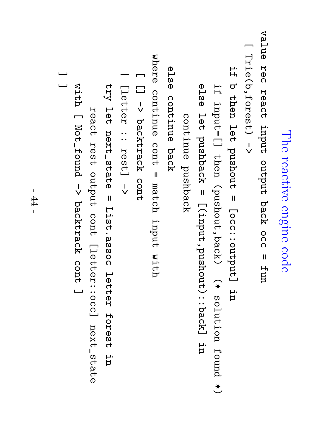The reactive engine code value R<br>Dec react input output back<br>M occ  $\mathbf{I}$ fun  $\Box$ Trie(b,forest) l<br>V 口.<br>H  $\bm{\sigma}$ then ロ<br>この pushout  $\mathbf{I}$ [occ::output] u<br>H 口.<br>H input=[] then (pushout,back)  $\widehat{*}$ solution found  $\overset{\textstyle{*}}{\smile}$ e<br>Da<br>D ロ<br>ロ<br>イ pushback  $\mathbf{I}$  $[\mathtt{z},\mathtt{index},\mathtt{p}$ ushout):: $\mathtt{p}$ u.<br>D continue continue pushback e<br>Da<br>D continue back where continue cont  $\mathbf{I}$ match input with  $\Box$  $\Box$ l<br>V backtrack cont | [letter ..<br>.. rest] l<br>V try ロ<br>この next\_state  $\mathbf{I}$ List.assoc letter forest ur. react rest<br>19 output cont [letter::occ] next\_state with  $\Box$ Not\_found l<br>V backtrack cont ا سا ا سا ا سا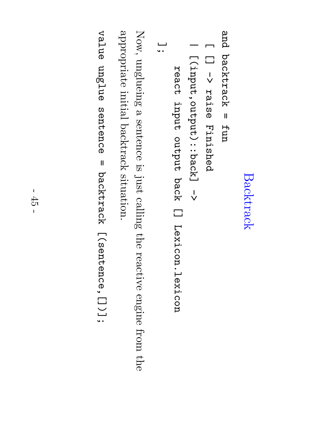#### Backtrack Backtrack

and backtrack  $\mathbf{I}$ fun

- $\Box$  $\Box$ l<br>V raise Finished
- [(input,output)::back] [(input, output): : back] ->

 $\overline{\phantom{0}}$ 

react input output back  $\Box$ Lexicon.lexicon

يــا<br>• •

Now, unglueing  $\mathbf \varphi$ sentence  $\Xi.$ just calling the reactive engine from the appropriate appropriate initial backtrack situation. backtrack situation.

value unglue sentence  $\mathbf{I}$ backtrack [(sentence,[])];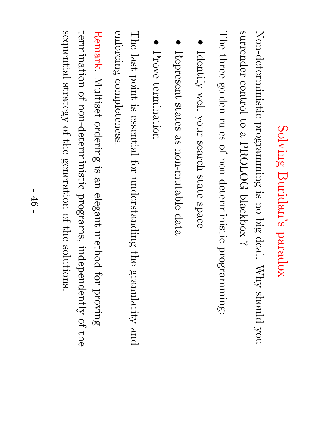# Solving Buridan's paradox

Non-deterministic programming  $\Xi.$ no big<br>B deal.  $\rm \chi hy$ should you surrender control  $\Xi$  $\boldsymbol{\omega}$ PROLOG blackbox  $\dot{\sim}$ 

The three golden rules of non-deterministic programming:

- Identify well your search state space
- $\bullet$ Represent states e<br>S non-mutable data
- $\bullet$ Prove termination termination

The last point  $\Xi.$ essential for understanding the  $\alpha$ pranularity and enforcing completeness completeness.

Remark. Multiset ordering  $\Xi.$ an<br>D elegant method for proving termination of non-deterministic programs,  $\operatorname{indegree}$ of the sequential strategy of the generation of the solutions.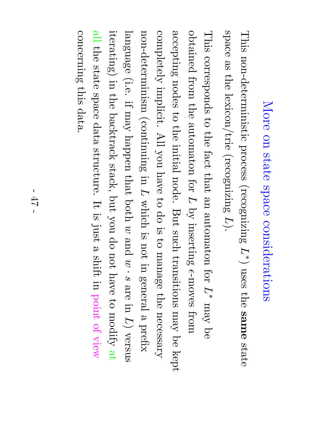## More on state space considerations

This non-deterministic process (recognizing L∗ $\smile$ uses the same state space es<br>S the<br>P lexicon/trie (recognizing L).

This corresponds  $\Xi$ the fact  $\mathrm{that}$ an<br>D automaton for L∗  $\Lambda$ e $\rm{u}$  $\operatorname*{g}\nolimits$ obtained from the automaton for L  $\mathrm{sq}$ inserting ∩ -moves from accepting nodes  $\Xi$ the initial node. But such transitions  $\Lambda$ e $\rm{u}$  $\operatorname*{g}\nolimits$ kept completely implicit. All you have  $\Xi$ do  $\Xi.$  $\Xi$ manage the necessary non-determinism (continuing in L which  $\Xi.$ not in general a prefix language (i.e.  $\Xi$ :  $\Lambda$ e $\rm{uu}$ happen  $\thinspace \mathrm{that}$  $100\mathrm{d}$  $\mathcal{C}% _{M_{1},M_{2}}^{\alpha,\beta}$ and  $\mathcal{C}% _{0}^{(n)}:=\mathcal{C}_{0}^{(n)}$ ·  $\mathbf c$ are in  $\bigcap$ versus  $\mathrm{iterating})$ in the backtrack  $\operatorname{stack},$ but you p<br>O not have  $\Xi^+$ modify သ $\frac{\infty}{2}$ e<br>I the state space data structure.  $\bm{\mathsf{\Pi}}$  $\Xi.$ just  $\boldsymbol{\omega}$ shift in point of view concerning this data.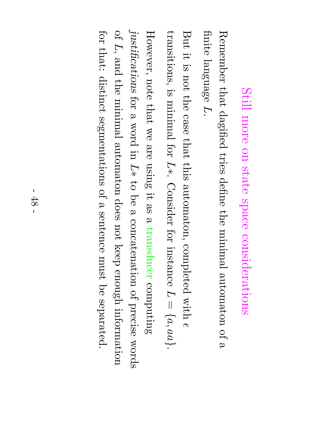### Still more on state space considerations

Remember  $\thinspace \mathrm{that}$ dagified tries define the minimal automaton of  $\omega$ finite language L.

But  $\Xi$ :  $\Xi.$ not the case that this automaton, completed with ∩ transitions,  $\Xi.$ minimal for L∗. Consider for instance L  $\overline{\phantom{a}}$  $\overline{\phantom{a}}$  $a,$  $a a$ ب<br>.

However, note  $\thinspace \mathrm{that}$  $\mathop{\otimes}\limits^{\mathop{\mathsf{M}}\nolimits}$ are using  $\Xi$ : e<br>So  $\mathbf \varphi$ transducer computing justifications for a word in L∗  $\Xi^+$  $\operatorname*{g}\nolimits$ a concatenation of precise words of L, and the minimal automaton does not keep  $\epsilon$ nough information for that: distinct segmentations of a sentence  $_{\rm {max}}$ a<br>B separated.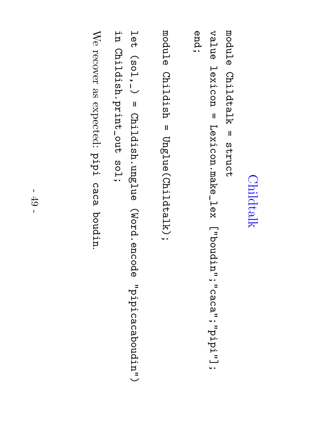#### **Childtalk** Childtalk

module Childtalk  $\mathbf{I}$ struct value lexicon  $\mathbf{I}$ Lexicon.make\_lex ["boudin";"caca";"pipi"]; end;

module Childish  $\mathbf{I}$ Unglue(Childtalk);

ロ<br>この ( sol, , \_)  $\mathbf{I}$ Childish.unglue (Word.encode "pipicacaboudin") n.<br>E Childish.print\_out sol;

We recover e<br>S expected: pipi caca boudin.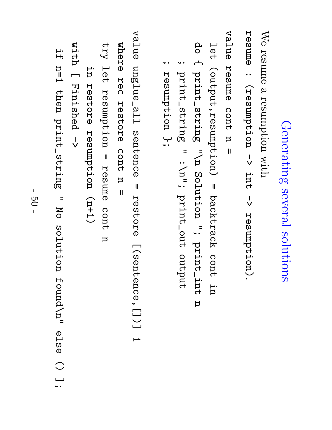# Generating Generating several solutions solutions

We resume a resumption with

resume : (resumption l<br>V int.<br>1 l<br>V resumption).

value resume cont  $\rm\Xi$  $\mathbf{I}$ 

ロ<br>この (output,resumption)  $\mathbf{I}$ backtrack cont p.<br>P

p<br>O  $\overline{\phantom{a}}$ print\_string こ<br>ロ Solution .<br>.. print\_int n

; print\_string  $\equiv$ :\n"; print\_out output

; resumption resumption };

value unglue\_all sentence unglue\_all sentence  $\mathbf{I}$ restore [(sentence, [])] restore  $[\,(\,$  Sentence,  $[\,]\,)$ ]  $\overline{1}$ 

where R<br>Dec restore cont  $\rm\Xi$  $\mathbf{u}$ 

 $\Lambda$ ב $\Lambda$ ロ<br>この resumption  $\mathbf{I}$ resume cont  $\rm\Xi$ 

u<br>H restore resumption  $(1+1)$ 

with  $\Box$ Finished l<br>V

口.<br>H n=1 then print\_string  $\equiv$ Z<br>O solution found\n" e<br>Da<br>D  $\bigcirc$ |<br>|<br>|•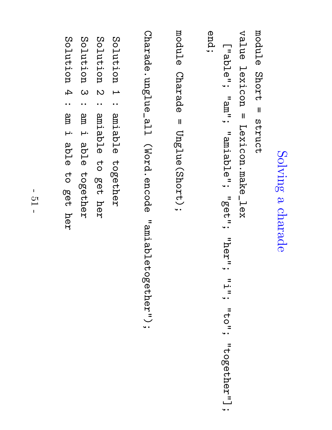### Solving  $\boldsymbol{\mathsf{\Omega}}$ charade

```
module Short = annct
 struct
```

```
value lexicon \mathbf{I}Lexicon.make_lex
 ["able"; "am"; "amiable"; "get"; "her"; =<br>.பு<br>. .
 "<br>to";
```
"together"];

end;

```
module
   Charade \mathbf{I}Unglue(Short);
```
Charade.unglue\_all (Word.encode Charade.unglue\_all (Word.encode "amiabletogether"); "amiabletogether");

```
Solution \overline{\phantom{0}}: amiable together
                      Solution \overline{\mathcal{C}}: amiable ರ<br>೧
                   po<br>Po
                      her
   Solution Solution 3
 : e<br>B
   Ē.
   a<br>D<br>D
together
```
Solution 4 noiution 4

:

م<br>آ

Ē.

a<br>D<br>D

ರ<br>೧

po<br>A<br>T

her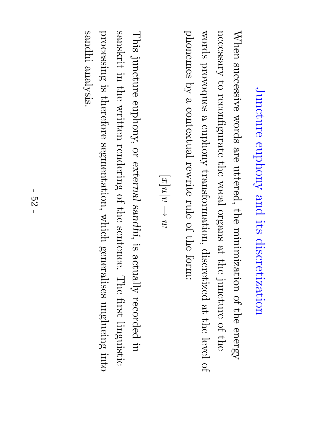## $\operatorname{Jundeture}$ euphony and its discretization

When successive words are uttered, the minimization of the energy necessary  $\Xi$ reconfigurate the vocal organs ည $\frac{\infty}{2}$ the juncture of the words provoques a euphony transformation, discretized ည $\frac{\bf p} {\bf p}$ the level of phonemes  $\mathcal{\overset{\sim}{Q}}$  $\boldsymbol{\mathsf{\Omega}}$ contextual rewrite rule of the form:

$$
x]u|v \rightarrow w
$$

[

This juncture euphony, or external sandhi,  $\Xi.$  $\operatorname{argmin}$ recorded in sanskrit in.<br>I the written rendering of the<br>P sentence. The first linguistic processing  $\Xi.$ therefore segmentation, which generalises unglueing into sandhi analysis.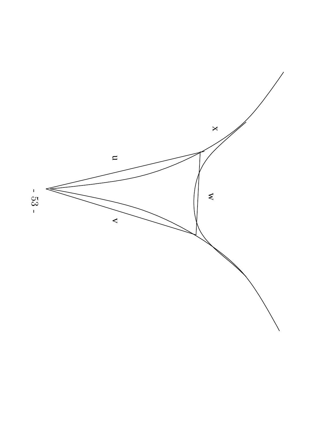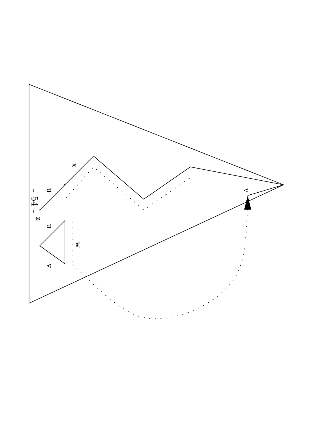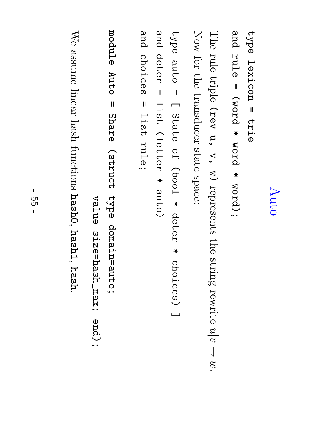### Auto

type lexicon  $\mathbf{I}$ e<br>Frie and rule  $\mathbf{\mathsf{I}}$ (word  $\ast$ word  $\ast$ word);

The rule triple (rev u,  $\prec$  $\mathcal{\mathcal{\mathcal{\mathcal{L}}}}%$ represents the string rewrite  $\frac{n}{\alpha}$  $\downarrow$  $\mathcal{C}$ Now for the<br>P transducer state space:

type auto  $\mathbf{I}$  $\Box$ State O<br>H (bool  $\ast$ deter  $\ast$ choices) ا سا and<br>P deter  $\mathbf{I}$ list<br>15<br>1 (letter  $\ast$ auto) and<br>P choices  $\mathbf{I}$ list<br>1<br>1 rule;

module Auto  $\mathbf{I}$ Share (struct type domain=auto;

value size=hash\_max; end);

We assume linear  $_{\rm hash}$ functions  $_{\rm hash0,}$ hash1, hash.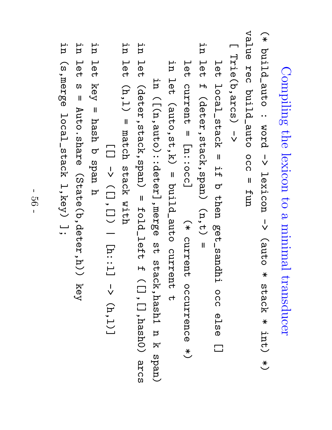Compiling the lexicon  $\mathsf{S}^{\mathsf{t}}$ <u>ဗ</u> minimal transducer

 $\widehat{*}$ build\_auto : word l<br>V lexicon l<br>V (auto  $\ast$ stack  $\ast$ int) \*) value R<br>Dec build\_auto ວ<br>ດ  $\mathbf{I}$ fun

 $\Box$ Trie(b,arcs) Trie(b, arcs) ->

ロ<br>この local\_stack  $\mathbf{I}$ 口.<br>H  $\mathbf{\overline{C}}$ then get\_sandhi ဝ<br>ဂ e<br>Da<br>O  $\Box$ p.<br>D ロ<br>この  $\mathsf{H}$ (deter,stack,span)  $(n,t)$ =

ロ<br>この current  $\mathbf{I}$ [n::occ]  $\widehat{*}$ current occurrence  $\overset{\textstyle{*}}{\smile}$ i<br>P ロ<br>この (auto,st,k)  $\mathbf{I}$ build\_auto current ct

p.<br>P ([(n,auto)::deter],merge の<br>イ stack,hash1  $\rm\Xi$ k span) in ロ<br>この (deter,stack,span)  $\mathbf{I}$ fold\_left  $\mathsf{H}$  $($  []  $,$  []  $)$  hash $($ arcs i<br>H ロ<br>ロ<br>ワ  $(h,1)$  $\mathbf{I}$ match stack with

 $\Box$ l<br>V ([],[])  $\overline{\phantom{0}}$ [h::l] l<br>V  $(\mathtt{h},\mathtt{l})$ ]

in let key  $\mathbf{I}$ hash  $\bm{\sigma}$ span h

in let ທ  $\mathbf{I}$ Auto.share (State(b,deter,h)) key

u<br>H (s,merge local\_stack  $1$ ,key) ب<br>. .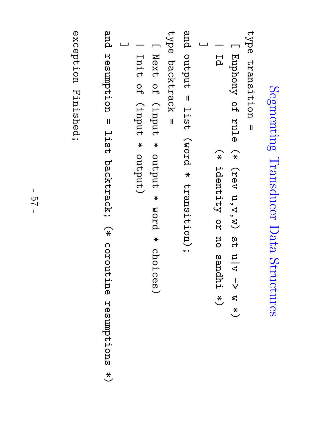# Segmenting Transducer Segmenting Transducer Data Structures Structures

```
type transition
      transition \overline{\mathbf{u}}
```

```
\BoxEuphony O<br>ዙ
                                    rule \widehat{*}(rev u,v,w)თ<br>H
                                   u|v l<br>V
                                    w \overset{\textstyle{*}}{\smile}\overline{\phantom{0}}Id \widehat{*}identity O<br>R
                  no sandhi \overset{*}{\smile}اسسا
```
and output  $\mathbf{I}$ list<br>1<br>1 (word  $\ast$ transition);

```
type backtrack \mathbf{I}
```

```
\BoxNext O<br>H
(input \astoutput \astword \starchoices)
```

```
\overline{\phantom{0}}Init O<br>H
(input \astoutput)
```
اسسا

and resumption  $\mathbf{I}$ list<br>1<br>1 backtrack;  $\widehat{*}$ coroutine resumptions  $\overset{\textstyle{*}}{\smile}$ 

exception Finished; exception Finished;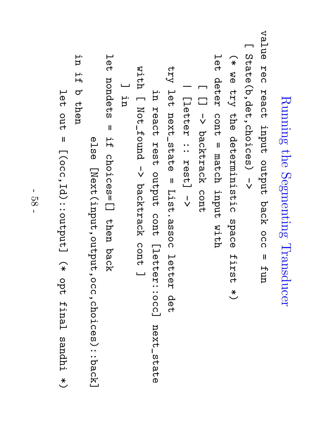Running the Segmenting Transducer value Rec react input output back occ  $\mathbf{I}$ fun  $\Box$ State(b,det,choices) l<br>V  $\widehat{*}$ ረ<br>ወ  $\zeta$ e<br>h<br>o deterministic space first  $\overset{\textstyle{*}}{\smile}$ ロ<br>この deter cont  $\mathbf{I}$ match input with  $\Box$  $\Box$ l<br>V backtrack cont | [letter ::<br>:: rest] l<br>V  $\Delta$ ロ<br>この next\_state  $\mathbf{I}$ List.assoc letter det i<br>E react rest output cont [letter::occ] next\_state with  $\Box$ Not\_found l<br>V backtrack cont ا سا ا سسا n.<br>E ロ<br>この nondets  $\mathbf{I}$ 口.<br>H choices=[] then back else [Next(input,output,oc).choices):iback]  $[\mathtt{Next}(\mathtt{input},\mathtt{out}(\mathtt{input},\mathtt{occ},\mathtt{choint},\mathtt{closek})$ u.<br>P 口.<br>H  $\bm{\sigma}$ then ロ<br>この out<br>4  $\mathbf{I}$ [(occ,Id)::output]  $\widehat{*}$ opt final sandhi

 $\overset{\textstyle{*}}{\smile}$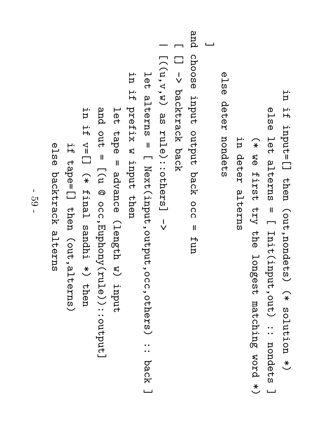e<br>Pa ロ<br>この alterns  $\mathbf{I}$  $\Box$ Init(input,out) ..<br>.. nondets اسسا  $\widehat{*}$ ፍ<br>ወ first  $\zeta$ e<br>he longest matching word  $\overset{\textstyle{*}}{\smile}$ u.<br>R deter alterns e<br>Da<br>D deter nondets اسسا and choose input output back occ  $\mathbf{I}$ fun  $\Box$  $\Box$ l<br>V backtrack back  $\overline{\phantom{0}}$  $\left[\,(\,{\rm u}\,, {\rm v}\,, {\rm v}\,, w)\,\right]$ ည<br>က rule)::others] l<br>V ロ<br>この alterns  $\mathbf{I}$  $\Box$ Next(input,output,occ,others) ::<br>:: back<br>M ] u.<br>P 口.<br>H prefix w input then ロ<br>この tape  $\mathbf{I}$ advance (length  $\mathcal{\vec{S}}$ input and<br>P out<br>4  $\mathbf{I}$ [(u @ occ,Euphony(rule))::output] n.<br>D 口.<br>H  $\mathbf{v}=[\ ]$  $\widehat{*}$ final sandhi  $\overset{\textstyle{*}}{\smile}$ then 口.<br>H tape=[] then (out,alterns) else backtrack alterns backtrack alterns

p.<br>P

口.<br>H

input=[]

then

(out,nondets)

 $\widehat{*}$ 

solution

 $\overset{\textstyle{*}}{\smile}$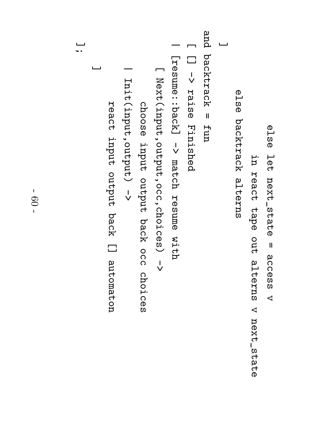i<br>P react tape out<br>4 alterns  $\prec$ else backtrack alterns backtrack alterns ا سا and backtrack  $\mathbf{I}$ fun  $\Box$  $\Box$ l<br>V raise Finished  $\overline{\phantom{0}}$ [resume::back] l<br>V match resume with  $\Box$ Next(input,output,occ,choices) l<br>V choose input output back occ choices  $\overline{\phantom{0}}$ Init(input,output) Init(input,output) -> react input output back  $\Box$ automaton ا سا ىــا<br>• •

e<br>Pa

ロ<br>この

next\_state

= access access

 $\prec$ 

next\_state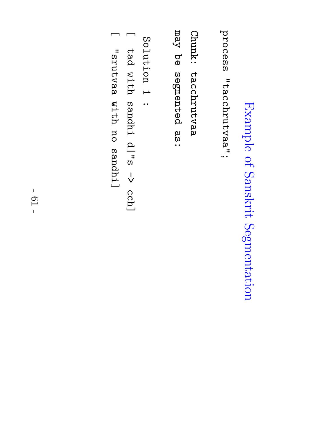# Example of Sanskrit Segmentation

process "tacchrutvaa"; process "tacchrutvaa";

Chunk: tacchrutvaa tacchrutvaa

 $\chi_{\rm{BIII}}$ ር<br>ወ segmented ထ<br>က<br>• •

Solution  $\overline{\phantom{0}}$ :

 $\Box$ բ<br>եժ with sandhi d<br>"s l<br>V cch]

 $\blacksquare$ "srutvaa with no sandhi]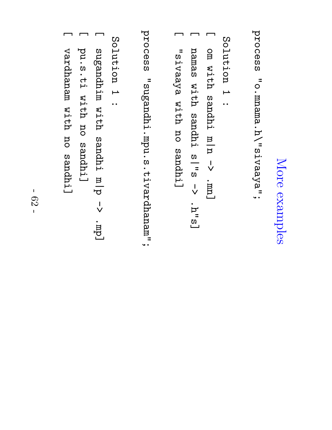## More examples

process "o.mnama.h\"sivaaya"; process "o.mnama.h\"sivaaya";

Solution  $\overline{\phantom{0}}$ :

- $\Box$ om with sandhi m|n l<br>V .<br>[UU]<br>\_
- $\Box$ namas with sandhi s<br>|<br>|<br>|<br>|<br>| l<br>V .h"s]
- $\Box$ "sivaaya with no sandhi]

process "sugandhi.mpu.s.tivardhanam"; process "sugandhi.mpu.s.tivardhanam";

Solution  $\overline{\phantom{0}}$ :

- $\Box$ sugandhim with sandhi d | u l<br>V  $\operatorname{\widetilde{L}}$
- $\Box$ pu.s.ti with no sandhi]
- $\Box$ vardhanam with no sandhi]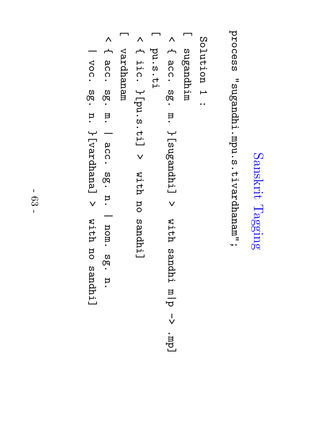# Sanskrit Tagging

process "sugandhi.mpu.s.tivardhanam"; process "sugandhi.mpu.s.tivardhanam";

Solution  $\overline{\phantom{0}}$ 

:

- $\Box$ minbuegus sugandhim
- $\overline{\wedge}$  $\overline{\phantom{a}}$ ac.<br>C დ<br>ლ m.  $\{$  [sugandh $\,$ i $\,$ ]  $\checkmark$ with sandhi d | u l<br>V  $\operatorname{\widetilde{L}}$  $\Box$ pu.s.ti
- $\overline{\wedge}$  $\overline{\phantom{a}}$ i<br>iic.<br>i  $\{p\mathbf{u} \cdot \mathbf{s} \cdot \mathbf{t}$ i]  $\checkmark$ with no sandhi]
- $\Box$ meueupren vardhanam
- $\overline{\wedge}$  $\overline{\phantom{a}}$ ac.<br>C ღ.<br>თ m. | ac<br>CC. ღ.<br>თ n.  $\overline{\phantom{0}}$ nom. დ<br>თ n.
- $\overline{\phantom{0}}$ voc. ღ.<br>თ n.  $\left[\text{parallel}\right]$  $\checkmark$ with no sandhi]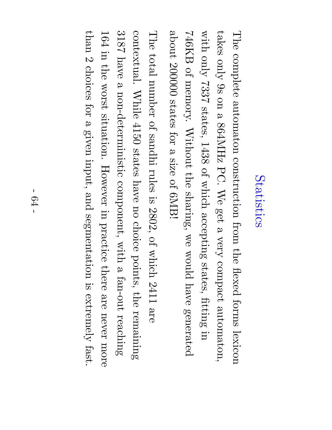#### Statistics Statistics

The complete automaton construction from the flexed forms lexicon takes only  $\mathbb{S}^2$ on  $\boldsymbol{\omega}$ 864MHz PC. We get  $\mathbf \varphi$ very compact automaton, with only 7337 states, 1438 of which accepting states, fitting in  $\rm H2B$ of memory. Without the sharing,  $\mathop{\otimes}\limits^{\mathop{\mathbb{C}}\limits_{\mathop{\mathbb{C}}\limits^{}}\mathop{\mathbb{C}}\limits^{\mathop{\mathbb{C}}\limits_{\mathop{\mathbb{C}}\limits^{}}\mathop{\mathbb{C}}\limits^{}}$ would have generated about 200000 states for  $\boldsymbol{\omega}$ size of 6MB!

The  $\operatorname{total}$ number of sandhi rules  $\Xi.$ 2802, of which 2411 are contextual. While 4150 states have no choice points, the remaining 318<br>28 have  $\mathbf \varphi$ non-deterministic component, with  $\mathbf \varphi$ fan-out reaching 164 in the worst situation. However in practice there are never more  ${\rm thd}$  $\mathcal{C}$ choices for  $\boldsymbol{\omega}$ given input, and segmentation  $\Xi.$  ${\rm extract}$ fast.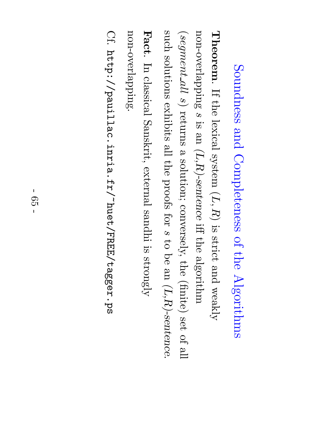## Soundness and Completeness of the Algorithms

 ${\rm Theorem}$ . If the lexical system  $(\overline{I},$  $\widehat{R})$  $\Xi.$ strict and weakly non-overlapping  $\mathbf c$  $\Xi.$ an<br>D  $(L,R)\text{-}sentence$ iff the algorithm  $(segment$  $\emph{a}$  $\mathfrak{S}$ returns  $\boldsymbol{\omega}$ solution; conversely, the  $(\mathrm{finite})$ set<br>O of  $\mathbb{E}$ such solutions exhibits  $\mathbb{E}$ the proofs for  $\mathbf c$  $\Xi$ a<br>O e<br>D  $(L,R)\text{-}sentence$ 

.

non-overlapping. non-overlapping. Fact.  $\rm \Xi$ classical Sanskrit, external sandhi  $\Xi.$  ${\rm dy}$ 

Cf. http://pauillac.inria.fr/~huet/FREE/tagger.ps http://pauillac.inria.fr/~huet/FREE/tagger.ps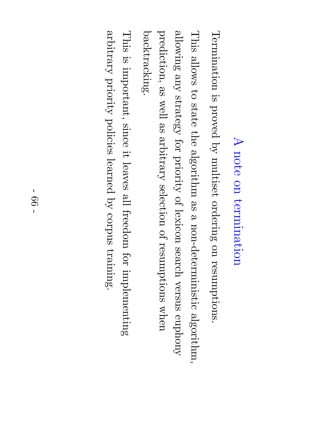### $\blacktriangleright$ note on termination

backtracking. backtracking. prediction, allowing This Termination  $\mathrm{sol}$ l $\mathrm{low}$ s  $\rm\chi_{\rm UPS}$ e<br>S  $\Xi$  $\Xi.$ strategy well state proved e<br>So the  $\operatorname{surface}$ for  $\mathrm{sq}$ algorithm priority multiset selection of e<br>S ordering lexicon  $\boldsymbol{\mathsf{\Omega}}$ non-deterministic of resumptions on search resumptions. versus when  $\mathrm{algorithm}.$ euphony

This  $\Xi.$ important, since it. leaves  $\mathbb{E}$ freedom for implementing  $\operatorname{surface}$ priority policies learned  $\mathcal{\overset{\sim}{Q}}$ corpus training.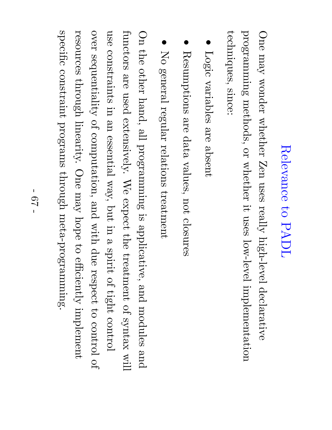### Relevance  $\mathsf{S}^{\mathsf{t}}$ PADL

One  $\Lambda$ e $\rm{u}$ wonder whether Zen uses really high-level declarative programming methods, or whether it. uses low-level implementation techniques, techniques, since:

- Logic variables are absent
- $\bullet$ Resumptions are<br>O data values, not closures
- $\bullet$ No general regular relations treatment

 $\rm{O}$ the other hand,  $\mathbb{E}$ programming  $\Xi.$ applicative, and modules and functors are used extensively.  $\mathbb{N}_\Theta$ expect the treatment of syntax will use constraints in an<br>D essential way, but in  $\boldsymbol{\omega}$ spirit of tight control over sequentiality of computation, and with due respect  $\mathfrak{S}$ control of resources through linearity. One  $\Lambda$ e $\rm{u}$ hope  $\Xi$ efficiently implement specific constraint programs through meta-programming.